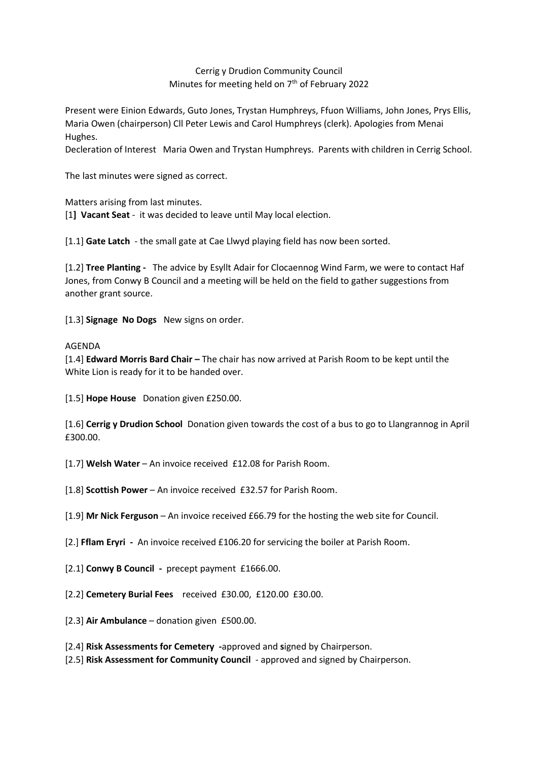## Cerrig y Drudion Community Council Minutes for meeting held on  $7<sup>th</sup>$  of February 2022

Present were Einion Edwards, Guto Jones, Trystan Humphreys, Ffuon Williams, John Jones, Prys Ellis, Maria Owen (chairperson) Cll Peter Lewis and Carol Humphreys (clerk). Apologies from Menai Hughes.

Decleration of Interest Maria Owen and Trystan Humphreys. Parents with children in Cerrig School.

The last minutes were signed as correct.

Matters arising from last minutes.

[1**] Vacant Seat** - it was decided to leave until May local election.

[1.1] **Gate Latch** - the small gate at Cae Llwyd playing field has now been sorted.

[1.2] **Tree Planting -** The advice by Esyllt Adair for Clocaennog Wind Farm, we were to contact Haf Jones, from Conwy B Council and a meeting will be held on the field to gather suggestions from another grant source.

[1.3] **Signage No Dogs** New signs on order.

## AGENDA

[1.4] **Edward Morris Bard Chair –** The chair has now arrived at Parish Room to be kept until the White Lion is ready for it to be handed over.

[1.5] **Hope House** Donation given £250.00.

[1.6] **Cerrig y Drudion School** Donation given towards the cost of a bus to go to Llangrannog in April £300.00.

[1.7] **Welsh Water** – An invoice received £12.08 for Parish Room.

[1.8] **Scottish Power** – An invoice received £32.57 for Parish Room.

[1.9] **Mr Nick Ferguson** – An invoice received £66.79 for the hosting the web site for Council.

[2.] **Fflam Eryri -** An invoice received £106.20 for servicing the boiler at Parish Room.

[2.1] **Conwy B Council -** precept payment £1666.00.

[2.2] **Cemetery Burial Fees** received £30.00, £120.00 £30.00.

[2.3] **Air Ambulance** – donation given £500.00.

[2.4] **Risk Assessments for Cemetery -**approved and **s**igned by Chairperson.

[2.5] **Risk Assessment for Community Council** - approved and signed by Chairperson.